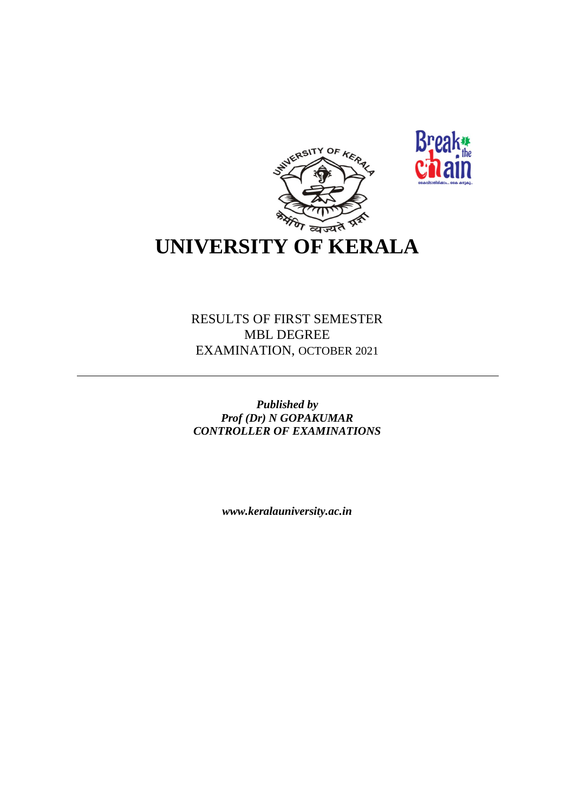



# **UNIVERSITY OF KERALA**

RESULTS OF FIRST SEMESTER MBL DEGREE EXAMINATION, OCTOBER 2021

*Published by Prof (Dr) N GOPAKUMAR CONTROLLER OF EXAMINATIONS*

*www.keralauniversity.ac.in*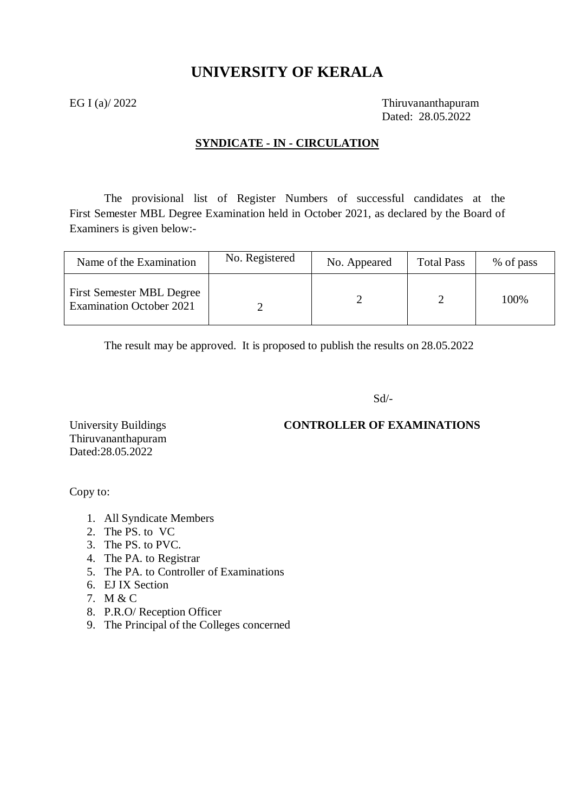# **UNIVERSITY OF KERALA**

EG I (a)/ 2022 Thiruvananthapuram Dated: 28.05.2022

### **SYNDICATE - IN - CIRCULATION**

The provisional list of Register Numbers of successful candidates at the First Semester MBL Degree Examination held in October 2021, as declared by the Board of Examiners is given below:-

| Name of the Examination                                             | No. Registered | No. Appeared | <b>Total Pass</b> | % of pass |
|---------------------------------------------------------------------|----------------|--------------|-------------------|-----------|
| <b>First Semester MBL Degree</b><br><b>Examination October 2021</b> |                |              |                   | 100%      |

The result may be approved. It is proposed to publish the results on 28.05.2022

Sd/-

### University Buildings **CONTROLLER OF EXAMINATIONS**

Thiruvananthapuram Dated:28.05.2022

Copy to:

- 1. All Syndicate Members
- 2. The PS. to VC
- 3. The PS. to PVC.
- 4. The PA. to Registrar
- 5. The PA. to Controller of Examinations
- 6. EJ IX Section
- 7. M & C
- 8. P.R.O/ Reception Officer
- 9. The Principal of the Colleges concerned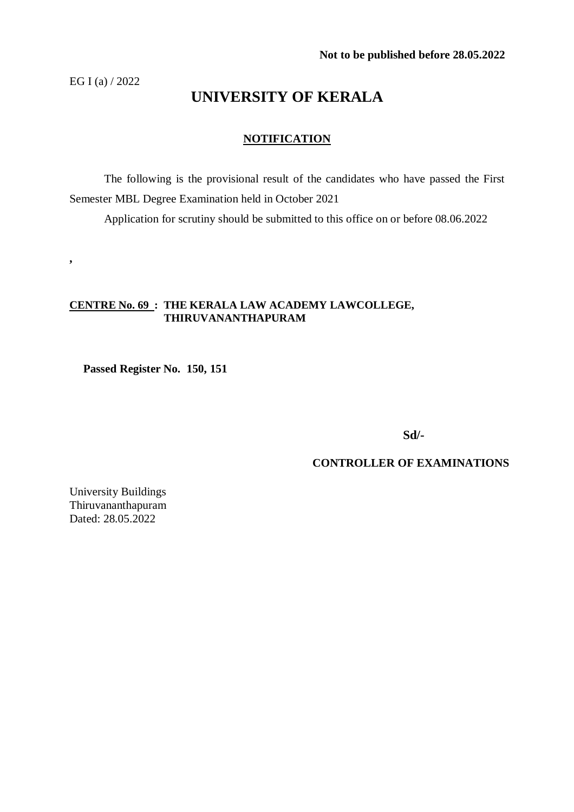EG I (a) / 2022

**,**

# **UNIVERSITY OF KERALA**

### **NOTIFICATION**

The following is the provisional result of the candidates who have passed the First Semester MBL Degree Examination held in October 2021

Application for scrutiny should be submitted to this office on or before 08.06.2022

#### **CENTRE No. 69 : THE KERALA LAW ACADEMY LAWCOLLEGE, THIRUVANANTHAPURAM**

 **Passed Register No. 150, 151**

**Sd/-**

#### **CONTROLLER OF EXAMINATIONS**

University Buildings Thiruvananthapuram Dated: 28.05.2022